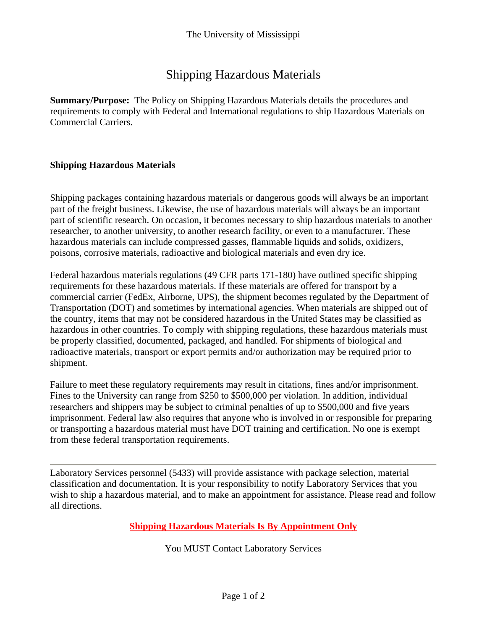# Shipping Hazardous Materials

**Summary/Purpose:** The Policy on Shipping Hazardous Materials details the procedures and requirements to comply with Federal and International regulations to ship Hazardous Materials on Commercial Carriers.

## **Shipping Hazardous Materials**

Shipping packages containing hazardous materials or dangerous goods will always be an important part of the freight business. Likewise, the use of hazardous materials will always be an important part of scientific research. On occasion, it becomes necessary to ship hazardous materials to another researcher, to another university, to another research facility, or even to a manufacturer. These hazardous materials can include compressed gasses, flammable liquids and solids, oxidizers, poisons, corrosive materials, radioactive and biological materials and even dry ice.

Federal hazardous materials regulations (49 CFR parts 171-180) have outlined specific shipping requirements for these hazardous materials. If these materials are offered for transport by a commercial carrier (FedEx, Airborne, UPS), the shipment becomes regulated by the Department of Transportation (DOT) and sometimes by international agencies. When materials are shipped out of the country, items that may not be considered hazardous in the United States may be classified as hazardous in other countries. To comply with shipping regulations, these hazardous materials must be properly classified, documented, packaged, and handled. For shipments of biological and radioactive materials, transport or export permits and/or authorization may be required prior to shipment.

Failure to meet these regulatory requirements may result in citations, fines and/or imprisonment. Fines to the University can range from \$250 to \$500,000 per violation. In addition, individual researchers and shippers may be subject to criminal penalties of up to \$500,000 and five years imprisonment. Federal law also requires that anyone who is involved in or responsible for preparing or transporting a hazardous material must have DOT training and certification. No one is exempt from these federal transportation requirements.

Laboratory Services personnel (5433) will provide assistance with package selection, material classification and documentation. It is your responsibility to notify Laboratory Services that you wish to ship a hazardous material, and to make an appointment for assistance. Please read and follow all directions.

**Shipping Hazardous Materials Is By Appointment Only** 

You MUST Contact Laboratory Services